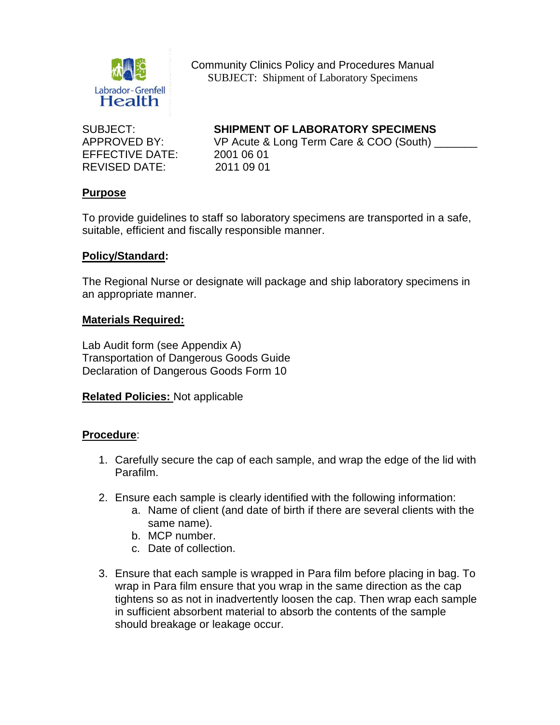

Community Clinics Policy and Procedures Manual SUBJECT: Shipment of Laboratory Specimens

EFFECTIVE DATE: 2001 06 01 REVISED DATE: 2011 09 01

# SUBJECT: **SHIPMENT OF LABORATORY SPECIMENS**

APPROVED BY: VP Acute & Long Term Care & COO (South)

## **Purpose**

To provide guidelines to staff so laboratory specimens are transported in a safe, suitable, efficient and fiscally responsible manner.

## **Policy/Standard:**

The Regional Nurse or designate will package and ship laboratory specimens in an appropriate manner.

#### **Materials Required:**

Lab Audit form (see Appendix A) Transportation of Dangerous Goods Guide Declaration of Dangerous Goods Form 10

**Related Policies:** Not applicable

# **Procedure**:

- 1. Carefully secure the cap of each sample, and wrap the edge of the lid with Parafilm.
- 2. Ensure each sample is clearly identified with the following information:
	- a. Name of client (and date of birth if there are several clients with the same name).
	- b. MCP number.
	- c. Date of collection.
- 3. Ensure that each sample is wrapped in Para film before placing in bag. To wrap in Para film ensure that you wrap in the same direction as the cap tightens so as not in inadvertently loosen the cap. Then wrap each sample in sufficient absorbent material to absorb the contents of the sample should breakage or leakage occur.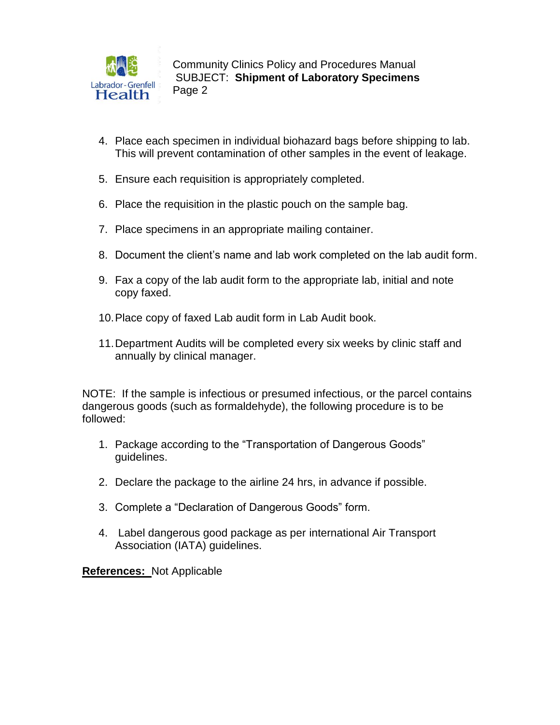

Community Clinics Policy and Procedures Manual **SUBJECT: Shipment of Laboratory Specimens** Page 2

- 4. Place each specimen in individual biohazard bags before shipping to lab. This will prevent contamination of other samples in the event of leakage.
- 5. Ensure each requisition is appropriately completed.
- 6. Place the requisition in the plastic pouch on the sample bag.
- 7. Place specimens in an appropriate mailing container.
- 8. Document the client's name and lab work completed on the lab audit form.
- 9. Fax a copy of the lab audit form to the appropriate lab, initial and note copy faxed.
- 10.Place copy of faxed Lab audit form in Lab Audit book.
- 11.Department Audits will be completed every six weeks by clinic staff and annually by clinical manager.

NOTE: If the sample is infectious or presumed infectious, or the parcel contains dangerous goods (such as formaldehyde), the following procedure is to be followed:

- 1. Package according to the "Transportation of Dangerous Goods" guidelines.
- 2. Declare the package to the airline 24 hrs, in advance if possible.
- 3. Complete a "Declaration of Dangerous Goods" form.
- 4. Label dangerous good package as per international Air Transport Association (IATA) guidelines.

**References:** Not Applicable